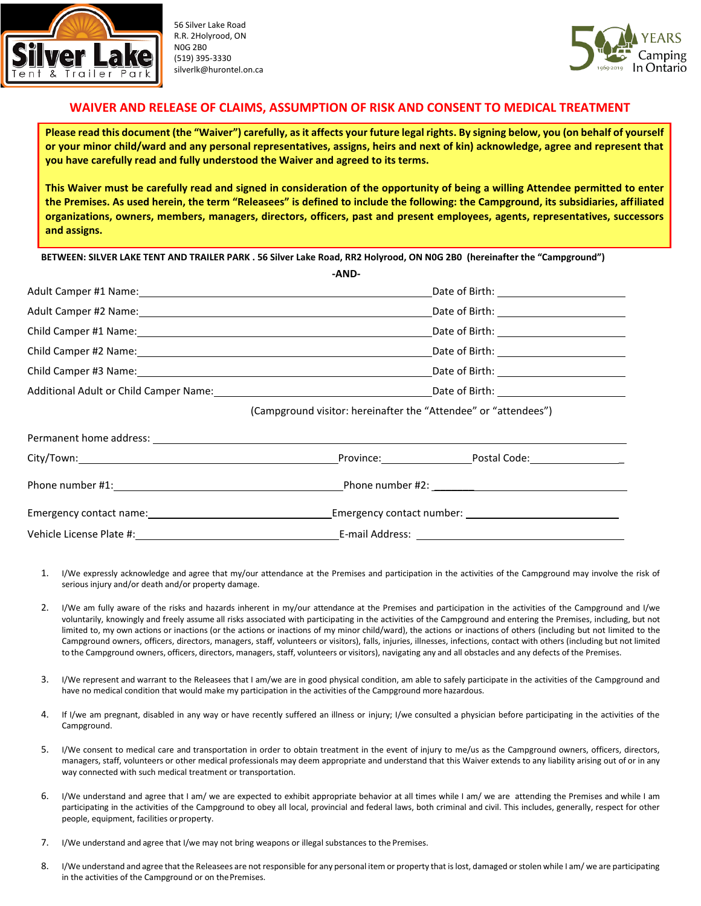

56 Silver Lake Road R.R. 2Holyrood, ON N0G 2B0 (519) 395-3330 silverlk@hurontel.on.ca



## **WAIVER AND RELEASE OF CLAIMS, ASSUMPTION OF RISK AND CONSENT TO MEDICAL TREATMENT**

**Please read this document (the "Waiver") carefully, as it affects your future legal rights. By signing below, you (on behalf of yourself or your minor child/ward and any personal representatives, assigns, heirs and next of kin) acknowledge, agree and represent that you have carefully read and fully understood the Waiver and agreed to its terms.**

**This Waiver must be carefully read and signed in consideration of the opportunity of being a willing Attendee permitted to enter the Premises. As used herein, the term "Releasees" is defined to include the following: the Campground, its subsidiaries, affiliated organizations, owners, members, managers, directors, officers, past and present employees, agents, representatives, successors and assigns.**

**BETWEEN: SILVER LAKE TENT AND TRAILER PARK . 56 Silver Lake Road, RR2 Holyrood, ON N0G 2B0 (hereinafter the "Campground")**

|                                                                                                                                                                                                                                | -AND-                                                                                                                                                                                                                          |                                                                 |  |
|--------------------------------------------------------------------------------------------------------------------------------------------------------------------------------------------------------------------------------|--------------------------------------------------------------------------------------------------------------------------------------------------------------------------------------------------------------------------------|-----------------------------------------------------------------|--|
|                                                                                                                                                                                                                                |                                                                                                                                                                                                                                |                                                                 |  |
|                                                                                                                                                                                                                                |                                                                                                                                                                                                                                |                                                                 |  |
|                                                                                                                                                                                                                                |                                                                                                                                                                                                                                |                                                                 |  |
|                                                                                                                                                                                                                                |                                                                                                                                                                                                                                |                                                                 |  |
|                                                                                                                                                                                                                                |                                                                                                                                                                                                                                |                                                                 |  |
|                                                                                                                                                                                                                                | Additional Adult or Child Camper Name: Name and Control of Birth: Name and Control of Birth: Name and Control of Birth: Name and Control of Birth: Name and Control of Birth: Name and Control of Birth: Name and Control of B |                                                                 |  |
|                                                                                                                                                                                                                                |                                                                                                                                                                                                                                | (Campground visitor: hereinafter the "Attendee" or "attendees") |  |
| Permanent home address: example and a series of the series of the series of the series of the series of the series of the series of the series of the series of the series of the series of the series of the series of the se |                                                                                                                                                                                                                                |                                                                 |  |
|                                                                                                                                                                                                                                |                                                                                                                                                                                                                                |                                                                 |  |
|                                                                                                                                                                                                                                |                                                                                                                                                                                                                                |                                                                 |  |
|                                                                                                                                                                                                                                |                                                                                                                                                                                                                                |                                                                 |  |
|                                                                                                                                                                                                                                |                                                                                                                                                                                                                                |                                                                 |  |

- 1. I/We expressly acknowledge and agree that my/our attendance at the Premises and participation in the activities of the Campground may involve the risk of serious injury and/or death and/or property damage.
- 2. I/We am fully aware of the risks and hazards inherent in my/our attendance at the Premises and participation in the activities of the Campground and I/we voluntarily, knowingly and freely assume all risks associated with participating in the activities of the Campground and entering the Premises, including, but not limited to, my own actions or inactions (or the actions or inactions of my minor child/ward), the actions or inactions of others (including but not limited to the Campground owners, officers, directors, managers, staff, volunteers or visitors), falls, injuries, illnesses, infections, contact with others (including but not limited to the Campground owners, officers, directors, managers, staff, volunteers or visitors), navigating any and all obstacles and any defects of the Premises.
- 3. I/We represent and warrant to the Releasees that I am/we are in good physical condition, am able to safely participate in the activities of the Campground and have no medical condition that would make my participation in the activities of the Campground more hazardous.
- 4. If I/we am pregnant, disabled in any way or have recently suffered an illness or injury; I/we consulted a physician before participating in the activities of the Campground.
- 5. I/We consent to medical care and transportation in order to obtain treatment in the event of injury to me/us as the Campground owners, officers, directors, managers, staff, volunteers or other medical professionals may deem appropriate and understand that this Waiver extends to any liability arising out of or in any way connected with such medical treatment or transportation.
- 6. I/We understand and agree that I am/ we are expected to exhibit appropriate behavior at all times while I am/ we are attending the Premises and while I am participating in the activities of the Campground to obey all local, provincial and federal laws, both criminal and civil. This includes, generally, respect for other people, equipment, facilities or property.
- 7. I/We understand and agree that I/we may not bring weapons or illegal substances to the Premises.
- 8. I/We understand and agree that the Releasees are not responsible for any personal item or property that is lost, damaged or stolen while I am/ we are participating in the activities of the Campground or on thePremises.